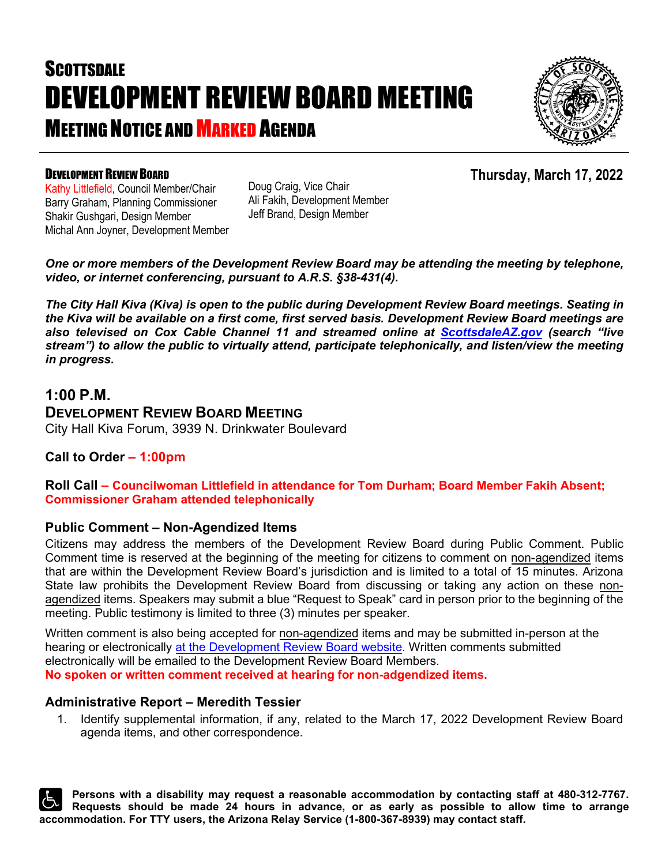# **SCOTTSDALE** DEVELOPMENT REVIEW BOARD MEETING **MEETING NOTICE AND MARKED AGENDA**



#### DEVELOPMENT REVIEW BOARD

**Thursday, March 17, 2022**

Kathy Littlefield, Council Member/Chair Barry Graham, Planning Commissioner Shakir Gushgari, Design Member Michal Ann Joyner, Development Member Doug Craig, Vice Chair Ali Fakih, Development Member Jeff Brand, Design Member

*One or more members of the Development Review Board may be attending the meeting by telephone, video, or internet conferencing, pursuant to A.R.S. §38-431(4).* 

*The City Hall Kiva (Kiva) is open to the public during Development Review Board meetings. Seating in the Kiva will be available on a first come, first served basis. Development Review Board meetings are also televised on Cox Cable Channel 11 and streamed online at [ScottsdaleAZ.gov](http://www.scottsdaleaz.gov/) (search "live stream") to allow the public to virtually attend, participate telephonically, and listen/view the meeting in progress.*

#### **1:00 P.M.**

**DEVELOPMENT REVIEW BOARD MEETING** City Hall Kiva Forum, 3939 N. Drinkwater Boulevard

#### **Call to Order – 1:00pm**

**Roll Call – Councilwoman Littlefield in attendance for Tom Durham; Board Member Fakih Absent; Commissioner Graham attended telephonically**

#### **Public Comment – Non-Agendized Items**

Citizens may address the members of the Development Review Board during Public Comment. Public Comment time is reserved at the beginning of the meeting for citizens to comment on non-agendized items that are within the Development Review Board's jurisdiction and is limited to a total of 15 minutes. Arizona State law prohibits the Development Review Board from discussing or taking any action on these nonagendized items. Speakers may submit a blue "Request to Speak" card in person prior to the beginning of the meeting. Public testimony is limited to three (3) minutes per speaker.

Written comment is also being accepted for non-agendized items and may be submitted in-person at the hearing or electronically at [the Development Review Board website.](https://www.scottsdaleaz.gov/boards/development-review-board/public-comment) Written comments submitted electronically will be emailed to the Development Review Board Members. **No spoken or written comment received at hearing for non-adgendized items.**

#### **Administrative Report – Meredith Tessier**

1. Identify supplemental information, if any, related to the March 17, 2022 Development Review Board agenda items, and other correspondence.

**Persons with a disability may request a reasonable accommodation by contacting staff at 480-312-7767. Requests should be made 24 hours in advance, or as early as possible to allow time to arrange accommodation. For TTY users, the Arizona Relay Service (1-800-367-8939) may contact staff.**